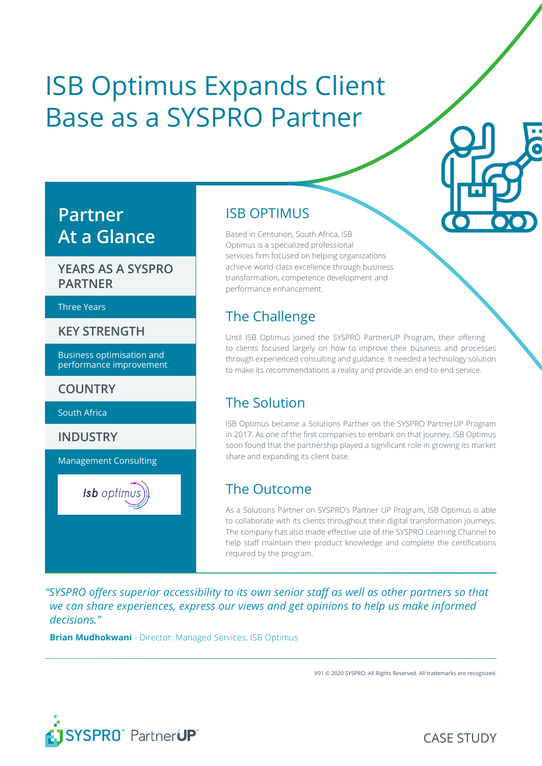# ISB Optimus Expands Client Base as a SYSPRO Partner

## **Partner At a Glance**

#### **YEARS AS A SYSPRO PARTNER**

#### Three Years

**KEY STRENGTH**

Business optimisation and performance improvement

**COUNTRY**

South Africa

**INDUSTRY**

Management Consulting

isb optimus

#### ISB OPTIMUS

Based in Centurion, South Africa, ISB Optimus is a specialized professional services firm focused on helping organizations achieve world-class excellence through business transformation, competence development and performance enhancement.

#### The Challenge

Until ISB Optimus joined the SYSPRO PartnerUP Program, their offering to clients focused largely on how to improve their business and processes through experienced consulting and guidance. It needed a technology solution to make its recommendations a reality and provide an end-to-end service.

## The Solution

ISB Optimus became a Solutions Partner on the SYSPRO PartnerUP Program in 2017. As one of the first companies to embark on that journey, ISB Optimus soon found that the partnership played a significant role in growing its market share and expanding its client base.

#### The Outcome

As a Solutions Partner on SYSPRO's Partner UP Program, ISB Optimus is able to collaborate with its clients throughout their digital transformation journeys. The company has also made effective use of the SYSPRO Learning Channel to help staff maintain their product knowledge and complete the certifications required by the program.

*"SYSPRO offers superior accessibility to its own senior staff as well as other partners so that we can share experiences, express our views and get opinions to help us make informed decisions."* 

**Brian Mudhokwani** - Director: Managed Services, ISB Optimus

V01 © 2020 SYSPRO. All Rights Reserved. All trademarks are recognized.

CASE STUDY

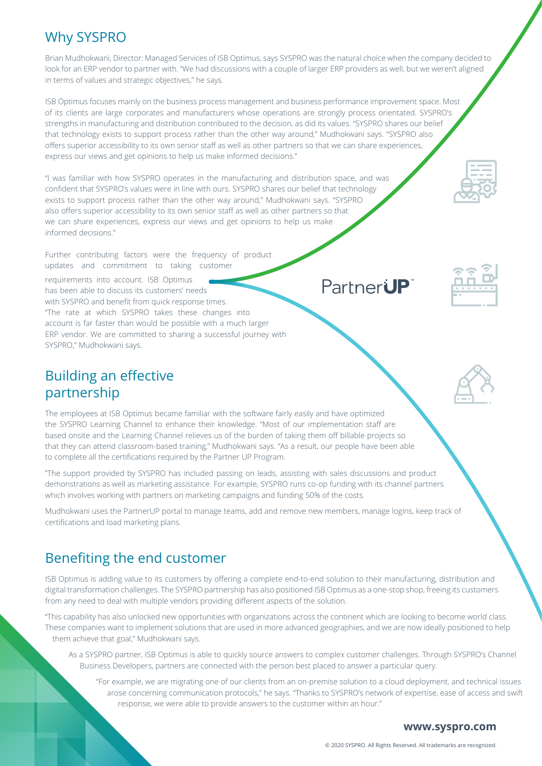#### Why SYSPRO

Brian Mudhokwani, Director: Managed Services of ISB Optimus, says SYSPRO was the natural choice when the company decided to look for an ERP vendor to partner with. "We had discussions with a couple of larger ERP providers as well, but we weren't aligned in terms of values and strategic objectives," he says.

ISB Optimus focuses mainly on the business process management and business performance improvement space. Most of its clients are large corporates and manufacturers whose operations are strongly process orientated. SYSPRO's strengths in manufacturing and distribution contributed to the decision, as did its values. "SYSPRO shares our belief that technology exists to support process rather than the other way around," Mudhokwani says. "SYSPRO also offers superior accessibility to its own senior staff as well as other partners so that we can share experiences, express our views and get opinions to help us make informed decisions."

"I was familiar with how SYSPRO operates in the manufacturing and distribution space, and was confident that SYSPRO's values were in line with ours. SYSPRO shares our belief that technology exists to support process rather than the other way around," Mudhokwani says. "SYSPRO also offers superior accessibility to its own senior staff as well as other partners so that we can share experiences, express our views and get opinions to help us make informed decisions."

Further contributing factors were the frequency of product updates and commitment to taking customer

requirements into account. ISB Optimus has been able to discuss its customers' needs with SYSPRO and benefit from quick response times. "The rate at which SYSPRO takes these changes into account is far faster than would be possible with a much larger ERP vendor. We are committed to sharing a successful journey with SYSPRO," Mudhokwani says.

#### Building an effective partnership

The employees at ISB Optimus became familiar with the software fairly easily and have optimized the SYSPRO Learning Channel to enhance their knowledge. "Most of our implementation staff are based onsite and the Learning Channel relieves us of the burden of taking them off billable projects so that they can attend classroom-based training," Mudhokwani says. "As a result, our people have been able to complete all the certifications required by the Partner UP Program.

"The support provided by SYSPRO has included passing on leads, assisting with sales discussions and product demonstrations as well as marketing assistance. For example, SYSPRO runs co-op funding with its channel partners which involves working with partners on marketing campaigns and funding 50% of the costs.

Mudhokwani uses the PartnerUP portal to manage teams, add and remove new members, manage logins, keep track of certifications and load marketing plans.

## Benefiting the end customer

ISB Optimus is adding value to its customers by offering a complete end-to-end solution to their manufacturing, distribution and digital transformation challenges. The SYSPRO partnership has also positioned ISB Optimus as a one-stop shop, freeing its customers from any need to deal with multiple vendors providing different aspects of the solution.

"This capability has also unlocked new opportunities with organizations across the continent which are looking to become world class. These companies want to implement solutions that are used in more advanced geographies, and we are now ideally positioned to help them achieve that goal," Mudhokwani says.

- As a SYSPRO partner, ISB Optimus is able to quickly source answers to complex customer challenges. Through SYSPRO's Channel Business Developers, partners are connected with the person best placed to answer a particular query.
	- "For example, we are migrating one of our clients from an on-premise solution to a cloud deployment, and technical issues arose concerning communication protocols," he says. "Thanks to SYSPRO's network of expertise, ease of access and swift response, we were able to provide answers to the customer within an hour."

# PartnerUP